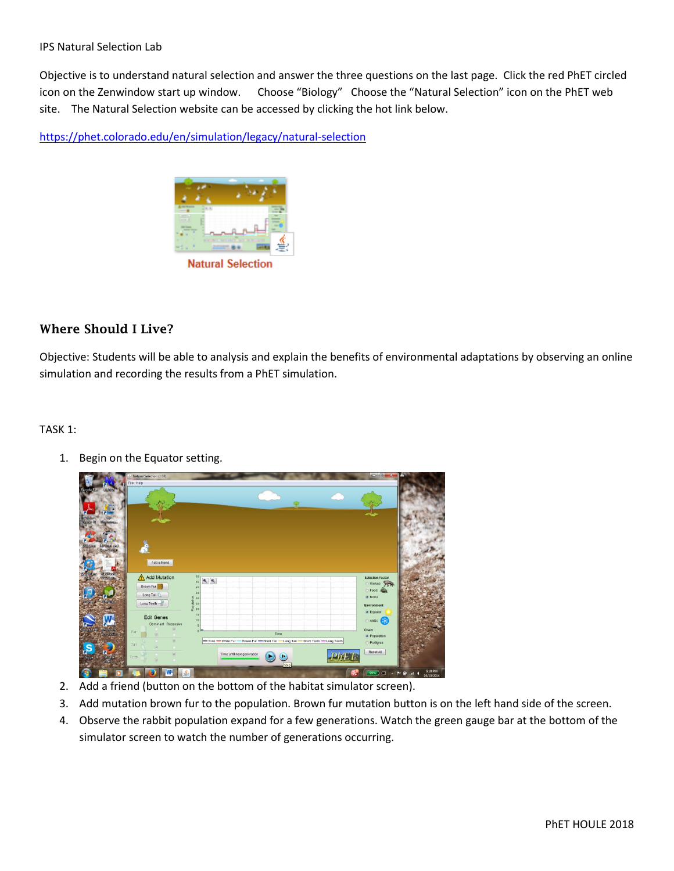Objective is to understand natural selection and answer the three questions on the last page. Click the red PhET circled icon on the Zenwindow start up window. Choose "Biology" Choose the "Natural Selection" icon on the PhET web site. The Natural Selection website can be accessed by clicking the hot link below.

<https://phet.colorado.edu/en/simulation/legacy/natural-selection>



## Where Should I Live?

Objective: Students will be able to analysis and explain the benefits of environmental adaptations by observing an online simulation and recording the results from a PhET simulation.

## TASK 1:

1. Begin on the Equator setting.

|                                | Natural Selection (1.03)<br>File Help            |                                                                                    |                         |  |
|--------------------------------|--------------------------------------------------|------------------------------------------------------------------------------------|-------------------------|--|
|                                |                                                  |                                                                                    |                         |  |
|                                |                                                  |                                                                                    |                         |  |
|                                |                                                  |                                                                                    |                         |  |
| <b>Highway</b>                 |                                                  |                                                                                    |                         |  |
|                                |                                                  |                                                                                    |                         |  |
| <b>GIP Died sur-</b>           |                                                  |                                                                                    |                         |  |
| <b>Steam Replica</b>           | d                                                |                                                                                    |                         |  |
|                                | Add a friend                                     |                                                                                    |                         |  |
|                                |                                                  |                                                                                    |                         |  |
| <b>WHEREA</b><br>Stingtesie    | Add Mutation                                     | 50 <sub>1</sub><br>$\Phi_{\!\scriptscriptstyle\chi}$<br>$\mathbf{e}$               | <b>Selection Factor</b> |  |
|                                | Brown Fur                                        | $45 -$<br>40                                                                       | Wolves >                |  |
|                                | Long Tall                                        | 35 <sub>1</sub>                                                                    | Food #20<br>· None      |  |
| Simil/Tel                      | Long Teeth -                                     | Population<br>29 29 39                                                             | Environment             |  |
|                                |                                                  | 15 <sub>1</sub>                                                                    | · Equator               |  |
|                                | <b>Edit Genes</b>                                | 10 <sub>1</sub>                                                                    | Arctic <b>Rep</b>       |  |
|                                | Dominant Recessive<br>$\circledcirc$             | 5<br>0 <sup>2</sup>                                                                | Chart                   |  |
| Were 2010                      | Fur<br>$\langle 0 \rangle$<br>٠                  | Time                                                                               | · Population            |  |
|                                | $\langle 0 \rangle$<br>Tail<br>$\circ$<br>$\sim$ | -Total - White Fur - Brown Fur - Short Tail - Long Tail - Short Teeth - Long Teeth | Pedigree                |  |
|                                | $\widehat{(\omega)}$                             | Time until next generation                                                         | Reset All               |  |
| <b>Broad</b><br><b>Firefox</b> | Teeth<br>$\left( \widehat{a}\right)$             | ⋓<br>Step                                                                          |                         |  |

- 2. Add a friend (button on the bottom of the habitat simulator screen).
- 3. Add mutation brown fur to the population. Brown fur mutation button is on the left hand side of the screen.
- 4. Observe the rabbit population expand for a few generations. Watch the green gauge bar at the bottom of the simulator screen to watch the number of generations occurring.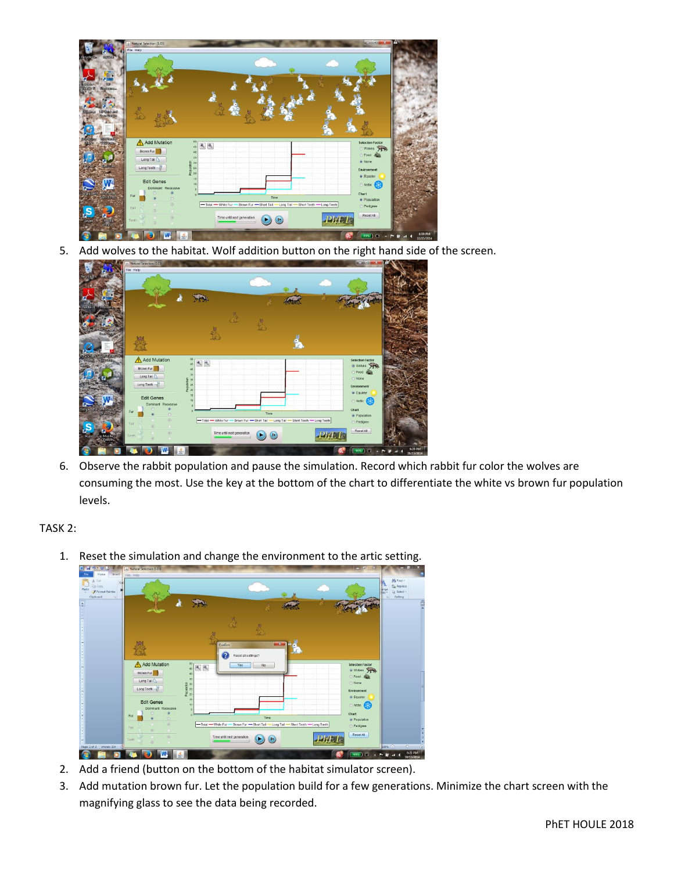

5. Add wolves to the habitat. Wolf addition button on the right hand side of the screen.



6. Observe the rabbit population and pause the simulation. Record which rabbit fur color the wolves are consuming the most. Use the key at the bottom of the chart to differentiate the white vs brown fur population levels.

TASK 2:

1. Reset the simulation and change the environment to the artic setting.



- 2. Add a friend (button on the bottom of the habitat simulator screen).
- 3. Add mutation brown fur. Let the population build for a few generations. Minimize the chart screen with the magnifying glass to see the data being recorded.